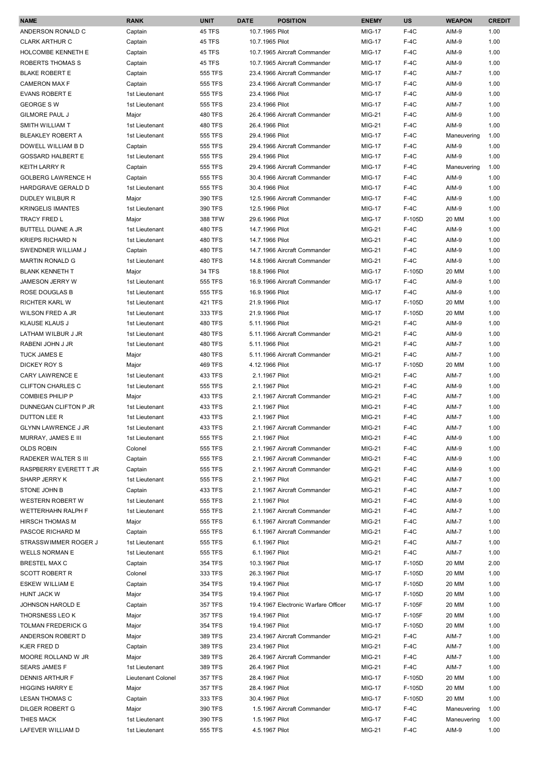| <b>NAME</b>                                         | <b>RANK</b>             | <b>UNIT</b>        | <b>DATE</b>     | <b>POSITION</b>                      | <b>ENEMY</b>            | <b>US</b>        | <b>WEAPON</b>  | <b>CREDIT</b> |
|-----------------------------------------------------|-------------------------|--------------------|-----------------|--------------------------------------|-------------------------|------------------|----------------|---------------|
| ANDERSON RONALD C                                   | Captain                 | <b>45 TFS</b>      | 10.7.1965 Pilot |                                      | <b>MIG-17</b>           | $F-4C$           | AIM-9          | 1.00          |
| <b>CLARK ARTHUR C</b>                               | Captain                 | <b>45 TFS</b>      | 10.7.1965 Pilot |                                      | <b>MIG-17</b>           | $F-4C$           | AIM-9          | 1.00          |
| HOLCOMBE KENNETH E                                  | Captain                 | <b>45 TFS</b>      |                 | 10.7.1965 Aircraft Commander         | <b>MIG-17</b>           | $F-4C$           | AIM-9          | 1.00          |
| ROBERTS THOMAS S                                    | Captain                 | 45 TFS             |                 | 10.7.1965 Aircraft Commander         | <b>MIG-17</b>           | $F-4C$           | AIM-9          | 1.00          |
| <b>BLAKE ROBERT E</b>                               | Captain                 | 555 TFS            |                 | 23.4.1966 Aircraft Commander         | <b>MIG-17</b>           | $F-4C$           | AIM-7          | 1.00          |
| <b>CAMERON MAX F</b>                                | Captain                 | <b>555 TFS</b>     |                 | 23.4.1966 Aircraft Commander         | <b>MIG-17</b>           | $F-4C$           | AIM-9          | 1.00          |
| <b>EVANS ROBERT E</b>                               | 1st Lieutenant          | 555 TFS            | 23.4.1966 Pilot |                                      | <b>MIG-17</b>           | $F-4C$           | AIM-9          | 1.00          |
| <b>GEORGE SW</b>                                    | 1st Lieutenant          | 555 TFS            | 23.4.1966 Pilot |                                      | <b>MIG-17</b>           | $F-4C$           | AIM-7          | 1.00          |
| <b>GILMORE PAUL J</b>                               | Major                   | <b>480 TFS</b>     |                 | 26.4.1966 Aircraft Commander         | MIG-21                  | $F-4C$           | AIM-9          | 1.00          |
| SMITH WILLIAM T                                     | 1st Lieutenant          | <b>480 TFS</b>     | 26.4.1966 Pilot |                                      | $MIG-21$                | $F-4C$           | AIM-9          | 1.00          |
| <b>BLEAKLEY ROBERT A</b>                            | 1st Lieutenant          | 555 TFS            | 29.4.1966 Pilot |                                      | <b>MIG-17</b>           | $F-4C$           | Maneuvering    | 1.00          |
| DOWELL WILLIAM B D                                  | Captain                 | <b>555 TFS</b>     |                 | 29.4.1966 Aircraft Commander         | <b>MIG-17</b>           | $F-4C$           | AIM-9          | 1.00          |
| <b>GOSSARD HALBERT E</b>                            | 1st Lieutenant          | 555 TFS            | 29.4.1966 Pilot |                                      | <b>MIG-17</b>           | $F-4C$           | AIM-9          | 1.00          |
| <b>KEITH LARRY R</b>                                | Captain                 | 555 TFS            |                 | 29.4.1966 Aircraft Commander         | <b>MIG-17</b>           | $F-4C$           | Maneuvering    | 1.00          |
| <b>GOLBERG LAWRENCE H</b>                           | Captain                 | <b>555 TFS</b>     |                 | 30.4.1966 Aircraft Commander         | <b>MIG-17</b>           | $F-4C$           | AIM-9          | 1.00          |
| HARDGRAVE GERALD D                                  | 1st Lieutenant          | 555 TFS            | 30.4.1966 Pilot |                                      | <b>MIG-17</b>           | $F-4C$           | AIM-9          | 1.00          |
| <b>DUDLEY WILBUR R</b>                              | Major                   | 390 TFS            |                 | 12.5.1966 Aircraft Commander         | <b>MIG-17</b>           | $F-4C$           | AIM-9          | 1.00          |
| <b>KRINGELIS IMANTES</b>                            | 1st Lieutenant          | 390 TFS            | 12.5.1966 Pilot |                                      | <b>MIG-17</b>           | $F-4C$           | AIM-9          | 1.00          |
| <b>TRACY FRED L</b>                                 | Major                   | <b>388 TFW</b>     | 29.6.1966 Pilot |                                      | <b>MIG-17</b>           | F-105D           | 20 MM          | 1.00          |
| BUTTELL DUANE A JR                                  | 1st Lieutenant          | 480 TFS            | 14.7.1966 Pilot |                                      | MIG-21                  | $F-4C$           | AIM-9          | 1.00          |
| <b>KRIEPS RICHARD N</b>                             | 1st Lieutenant          | <b>480 TFS</b>     | 14.7.1966 Pilot |                                      | MIG-21                  | $F-4C$           | AIM-9          | 1.00          |
| SWENDNER WILLIAM J                                  | Captain                 | <b>480 TFS</b>     |                 | 14.7.1966 Aircraft Commander         | <b>MIG-21</b>           | $F-4C$           | AIM-9          | 1.00          |
| MARTIN RONALD G                                     | 1st Lieutenant          | <b>480 TFS</b>     |                 | 14.8.1966 Aircraft Commander         | $MIG-21$                | $F-4C$           | AIM-9          | 1.00          |
| <b>BLANK KENNETH T</b>                              | Major                   | <b>34 TFS</b>      | 18.8.1966 Pilot |                                      | <b>MIG-17</b>           | F-105D           | 20 MM          | 1.00          |
| <b>JAMESON JERRY W</b>                              | 1st Lieutenant          | <b>555 TFS</b>     |                 | 16.9.1966 Aircraft Commander         | <b>MIG-17</b>           | $F-4C$           | AIM-9          | 1.00          |
| ROSE DOUGLAS B                                      | 1st Lieutenant          | 555 TFS            | 16.9.1966 Pilot |                                      | <b>MIG-17</b>           | $F-4C$           | AIM-9          | 1.00          |
| RICHTER KARL W                                      | 1st Lieutenant          | 421 TFS            | 21.9.1966 Pilot |                                      | <b>MIG-17</b>           | F-105D           | 20 MM          | 1.00          |
| WILSON FRED A JR                                    | 1st Lieutenant          | 333 TFS            | 21.9.1966 Pilot |                                      | <b>MIG-17</b>           | F-105D           | 20 MM          | 1.00          |
| <b>KLAUSE KLAUS J</b>                               | 1st Lieutenant          | 480 TFS            | 5.11.1966 Pilot |                                      | <b>MIG-21</b>           | $F-4C$           | AIM-9          | 1.00          |
| LATHAM WILBUR J JR                                  | 1st Lieutenant          | <b>480 TFS</b>     |                 | 5.11.1966 Aircraft Commander         | <b>MIG-21</b>           | $F-4C$           | AIM-9          | 1.00          |
| RABENI JOHN J JR                                    | 1st Lieutenant          | <b>480 TFS</b>     | 5.11.1966 Pilot |                                      | <b>MIG-21</b>           | $F-4C$           | AIM-7          | 1.00          |
| TUCK JAMES E                                        | Major                   | <b>480 TFS</b>     |                 | 5.11.1966 Aircraft Commander         | <b>MIG-21</b>           | $F-4C$           | AIM-7          | 1.00          |
| DICKEY ROY S                                        | Major                   | <b>469 TFS</b>     | 4.12.1966 Pilot |                                      | <b>MIG-17</b>           | F-105D           | 20 MM          | 1.00          |
| <b>CARY LAWRENCE E</b>                              | 1st Lieutenant          | 433 TFS            | 2.1.1967 Pilot  |                                      | MIG-21<br>$MIG-21$      | $F-4C$           | AIM-7          | 1.00          |
| <b>CLIFTON CHARLES C</b><br><b>COMBIES PHILIP P</b> | 1st Lieutenant          | 555 TFS<br>433 TFS | 2.1.1967 Pilot  |                                      |                         | $F-4C$           | AIM-9          | 1.00<br>1.00  |
| DUNNEGAN CLIFTON P JR                               | Major<br>1st Lieutenant | 433 TFS            | 2.1.1967 Pilot  | 2.1.1967 Aircraft Commander          | MIG-21<br><b>MIG-21</b> | $F-4C$<br>$F-4C$ | AIM-7<br>AIM-7 | 1.00          |
| DUTTON LEE R                                        | 1st Lieutenant          | 433 TFS            | 2.1.1967 Pilot  |                                      | MIG-21                  | $F-4C$           | AIM-7          | 1.00          |
| <b>GLYNN LAWRENCE J JR</b>                          | 1st Lieutenant          | 433 TFS            |                 | 2.1.1967 Aircraft Commander          | <b>MIG-21</b>           | $F-4C$           | AIM-7          | 1.00          |
| MURRAY, JAMES E III                                 | 1st Lieutenant          | 555 TFS            | 2.1.1967 Pilot  |                                      | <b>MIG-21</b>           | $F-4C$           | AIM-9          | 1.00          |
| <b>OLDS ROBIN</b>                                   | Colonel                 | 555 TFS            |                 | 2.1.1967 Aircraft Commander          | MIG-21                  | $F-4C$           | AIM-9          | 1.00          |
| RADEKER WALTER S III                                | Captain                 | 555 TFS            |                 | 2.1.1967 Aircraft Commander          | MIG-21                  | F-4C             | AIM-9          | 1.00          |
| RASPBERRY EVERETT T JR                              | Captain                 | 555 TFS            |                 | 2.1.1967 Aircraft Commander          | MIG-21                  | $F-4C$           | AIM-9          | 1.00          |
| SHARP JERRY K                                       | 1st Lieutenant          | 555 TFS            | 2.1.1967 Pilot  |                                      | MIG-21                  | $F-4C$           | AIM-7          | 1.00          |
| STONE JOHN B                                        | Captain                 | 433 TFS            |                 | 2.1.1967 Aircraft Commander          | MIG-21                  | $F-4C$           | AIM-7          | 1.00          |
| <b>WESTERN ROBERT W</b>                             | 1st Lieutenant          | 555 TFS            | 2.1.1967 Pilot  |                                      | MIG-21                  | $F-4C$           | AIM-9          | 1.00          |
| <b>WETTERHAHN RALPH F</b>                           | 1st Lieutenant          | 555 TFS            |                 | 2.1.1967 Aircraft Commander          | MIG-21                  | $F-4C$           | AIM-7          | 1.00          |
| <b>HIRSCH THOMAS M</b>                              | Major                   | 555 TFS            |                 | 6.1.1967 Aircraft Commander          | <b>MIG-21</b>           | $F-4C$           | AIM-7          | 1.00          |
| PASCOE RICHARD M                                    | Captain                 | 555 TFS            |                 | 6.1.1967 Aircraft Commander          | MIG-21                  | $F-4C$           | AIM-7          | 1.00          |
| STRASSWIMMER ROGER J                                | 1st Lieutenant          | 555 TFS            | 6.1.1967 Pilot  |                                      | <b>MIG-21</b>           | $F-4C$           | AIM-7          | 1.00          |
| <b>WELLS NORMAN E</b>                               | 1st Lieutenant          | 555 TFS            | 6.1.1967 Pilot  |                                      | <b>MIG-21</b>           | $F-4C$           | AIM-7          | 1.00          |
| <b>BRESTEL MAX C</b>                                | Captain                 | 354 TFS            | 10.3.1967 Pilot |                                      | <b>MIG-17</b>           | F-105D           | 20 MM          | 2.00          |
| SCOTT ROBERT R                                      | Colonel                 | 333 TFS            | 26.3.1967 Pilot |                                      | MIG-17                  | F-105D           | 20 MM          | 1.00          |
| ESKEW WILLIAM E                                     | Captain                 | 354 TFS            | 19.4.1967 Pilot |                                      | MIG-17                  | F-105D           | 20 MM          | 1.00          |
| <b>HUNT JACK W</b>                                  | Major                   | 354 TFS            | 19.4.1967 Pilot |                                      | <b>MIG-17</b>           | F-105D           | 20 MM          | 1.00          |
| <b>JOHNSON HAROLD E</b>                             | Captain                 | 357 TFS            |                 | 19.4.1967 Electronic Warfare Officer | <b>MIG-17</b>           | F-105F           | 20 MM          | 1.00          |
| THORSNESS LEO K                                     | Major                   | 357 TFS            | 19.4.1967 Pilot |                                      | <b>MIG-17</b>           | F-105F           | 20 MM          | 1.00          |
| <b>TOLMAN FREDERICK G</b>                           | Major                   | 354 TFS            | 19.4.1967 Pilot |                                      | <b>MIG-17</b>           | F-105D           | 20 MM          | 1.00          |
| ANDERSON ROBERT D                                   | Major                   | 389 TFS            |                 | 23.4.1967 Aircraft Commander         | MIG-21                  | $F-4C$           | AIM-7          | 1.00          |
| KJER FRED D                                         | Captain                 | 389 TFS            | 23.4.1967 Pilot |                                      | MIG-21                  | $F-4C$           | AIM-7          | 1.00          |
| MOORE ROLLAND W JR                                  | Major                   | 389 TFS            |                 | 26.4.1967 Aircraft Commander         | MIG-21                  | $F-4C$           | AIM-7          | 1.00          |
| <b>SEARS JAMES F</b>                                | 1st Lieutenant          | 389 TFS            | 26.4.1967 Pilot |                                      | MIG-21                  | $F-4C$           | AIM-7          | 1.00          |
| DENNIS ARTHUR F                                     | Lieutenant Colonel      | 357 TFS            | 28.4.1967 Pilot |                                      | <b>MIG-17</b>           | F-105D           | 20 MM          | 1.00          |
| <b>HIGGINS HARRY E</b>                              | Major                   | 357 TFS            | 28.4.1967 Pilot |                                      | MIG-17                  | F-105D           | 20 MM          | 1.00          |
| <b>LESAN THOMAS C</b>                               | Captain                 | 333 TFS            | 30.4.1967 Pilot |                                      | MIG-17                  | F-105D           | 20 MM          | 1.00          |
| DILGER ROBERT G                                     | Major                   | 390 TFS            |                 | 1.5.1967 Aircraft Commander          | MIG-17                  | F-4C             | Maneuvering    | 1.00          |
| THIES MACK                                          | 1st Lieutenant          | 390 TFS            | 1.5.1967 Pilot  |                                      | MIG-17                  | F-4C             | Maneuvering    | 1.00          |
| LAFEVER WILLIAM D                                   | 1st Lieutenant          | 555 TFS            | 4.5.1967 Pilot  |                                      | <b>MIG-21</b>           | $F-4C$           | AIM-9          | 1.00          |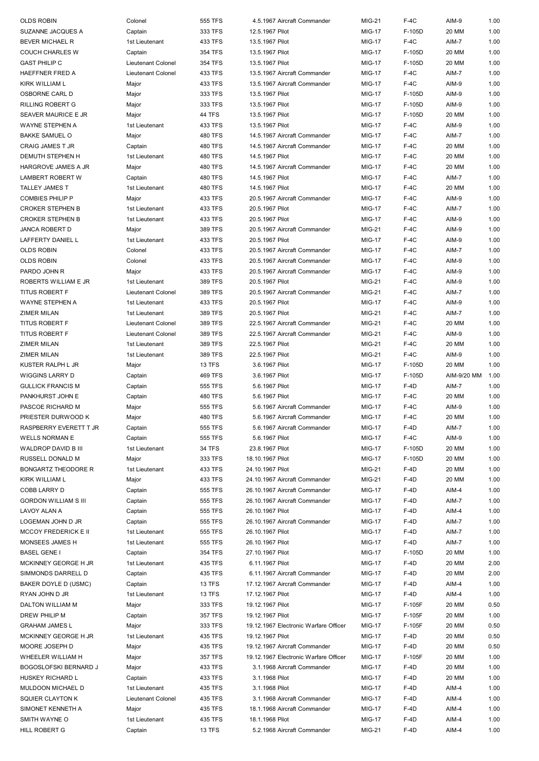| <b>OLDS ROBIN</b>              | Colonel                   | 555 TFS           | 4.5.1967 Aircraft Commander                    | <b>MIG-21</b>                  | $F-4C$           | AIM-9          | 1.00         |
|--------------------------------|---------------------------|-------------------|------------------------------------------------|--------------------------------|------------------|----------------|--------------|
| SUZANNE JACQUES A              | Captain                   | 333 TFS           | 12.5.1967 Pilot                                | <b>MIG-17</b>                  | F-105D           | 20 MM          | 1.00         |
| BEVER MICHAEL R                | 1st Lieutenant            | 433 TFS           | 13.5.1967 Pilot                                | <b>MIG-17</b>                  | $F-4C$           | AIM-7          | 1.00         |
| <b>COUCH CHARLES W</b>         | Captain                   | 354 TFS           | 13.5.1967 Pilot                                | <b>MIG-17</b>                  | F-105D           | 20 MM          | 1.00         |
| <b>GAST PHILIP C</b>           | Lieutenant Colonel        | 354 TFS           | 13.5.1967 Pilot                                | <b>MIG-17</b>                  | F-105D           | 20 MM          | 1.00         |
| HAEFFNER FRED A                | <b>Lieutenant Colonel</b> | 433 TFS           | 13.5.1967 Aircraft Commander                   | <b>MIG-17</b>                  | $F-4C$           | AIM-7          | 1.00         |
| KIRK WILLIAM L                 | Major                     | 433 TFS           | 13.5.1967 Aircraft Commander                   | <b>MIG-17</b>                  | $F-4C$           | AIM-9          | 1.00         |
| OSBORNE CARL D                 | Major                     | 333 TFS           | 13.5.1967 Pilot                                | <b>MIG-17</b>                  | F-105D           | AIM-9          | 1.00         |
| RILLING ROBERT G               | Major                     | 333 TFS           | 13.5.1967 Pilot                                | <b>MIG-17</b>                  | F-105D           | AIM-9          | 1.00         |
| SEAVER MAURICE E JR            | Major                     | <b>44 TFS</b>     | 13.5.1967 Pilot                                | <b>MIG-17</b>                  | F-105D           | 20 MM          | 1.00         |
| WAYNE STEPHEN A                | 1st Lieutenant            | 433 TFS           | 13.5.1967 Pilot                                | <b>MIG-17</b>                  | $F-4C$           | AIM-9          | 1.00         |
| <b>BAKKE SAMUEL O</b>          | Major                     | 480 TFS           | 14.5.1967 Aircraft Commander                   | <b>MIG-17</b>                  | $F-4C$           | AIM-7          | 1.00         |
| CRAIG JAMES T JR               | Captain                   | 480 TFS           | 14.5.1967 Aircraft Commander                   | <b>MIG-17</b>                  | $F-4C$           | 20 MM          | 1.00         |
| DEMUTH STEPHEN H               | 1st Lieutenant            | 480 TFS           | 14.5.1967 Pilot                                | <b>MIG-17</b>                  | $F-4C$           | 20 MM          | 1.00         |
| HARGROVE JAMES A JR            |                           | 480 TFS           | 14.5.1967 Aircraft Commander                   | <b>MIG-17</b>                  | $F-4C$           | 20 MM          | 1.00         |
| LAMBERT ROBERT W               | Major                     | <b>480 TFS</b>    | 14.5.1967 Pilot                                | <b>MIG-17</b>                  | $F-4C$           | AIM-7          | 1.00         |
|                                | Captain                   | <b>480 TFS</b>    | 14.5.1967 Pilot                                | <b>MIG-17</b>                  | $F-4C$           | 20 MM          | 1.00         |
| TALLEY JAMES T                 | 1st Lieutenant            |                   |                                                |                                |                  |                |              |
| <b>COMBIES PHILIP P</b>        | Major                     | 433 TFS           | 20.5.1967 Aircraft Commander                   | <b>MIG-17</b>                  | $F-4C$           | AIM-9          | 1.00         |
| <b>CROKER STEPHEN B</b>        | 1st Lieutenant            | 433 TFS           | 20.5.1967 Pilot                                | <b>MIG-17</b>                  | $F-4C$           | AIM-7          | 1.00         |
| <b>CROKER STEPHEN B</b>        | 1st Lieutenant            | 433 TFS           | 20.5.1967 Pilot                                | <b>MIG-17</b>                  | $F-4C$           | AIM-9          | 1.00         |
| JANCA ROBERT D                 | Major                     | 389 TFS           | 20.5.1967 Aircraft Commander                   | <b>MIG-21</b>                  | $F-4C$           | AIM-9          | 1.00         |
| LAFFERTY DANIEL L              | 1st Lieutenant            | 433 TFS           | 20.5.1967 Pilot                                | <b>MIG-17</b>                  | $F-4C$           | AIM-9          | 1.00         |
| <b>OLDS ROBIN</b>              | Colonel                   | 433 TFS           | 20.5.1967 Aircraft Commander                   | <b>MIG-17</b>                  | $F-4C$           | AIM-7          | 1.00         |
| <b>OLDS ROBIN</b>              | Colonel                   | 433 TFS           | 20.5.1967 Aircraft Commander                   | <b>MIG-17</b>                  | $F-4C$           | AIM-9          | 1.00         |
| PARDO JOHN R                   | Major                     | 433 TFS           | 20.5.1967 Aircraft Commander                   | <b>MIG-17</b>                  | $F-4C$           | AIM-9          | 1.00         |
| ROBERTS WILLIAM E JR           | 1st Lieutenant            | 389 TFS           | 20.5.1967 Pilot                                | <b>MIG-21</b>                  | $F-4C$           | AIM-9          | 1.00         |
| <b>TITUS ROBERT F</b>          | Lieutenant Colonel        | 389 TFS           | 20.5.1967 Aircraft Commander                   | <b>MIG-21</b>                  | $F-4C$           | AIM-7          | 1.00         |
| WAYNE STEPHEN A                | 1st Lieutenant            | 433 TFS           | 20.5.1967 Pilot                                | <b>MIG-17</b>                  | $F-4C$           | AIM-9          | 1.00         |
| ZIMER MILAN                    | 1st Lieutenant            | 389 TFS           | 20.5.1967 Pilot                                | <b>MIG-21</b>                  | $F-4C$           | AIM-7          | 1.00         |
| <b>TITUS ROBERT F</b>          | Lieutenant Colonel        | 389 TFS           | 22.5.1967 Aircraft Commander                   | <b>MIG-21</b>                  | $F-4C$           | 20 MM          | 1.00         |
| <b>TITUS ROBERT F</b>          | Lieutenant Colonel        | 389 TFS           | 22.5.1967 Aircraft Commander                   | <b>MIG-21</b>                  | $F-4C$           | AIM-9          | 1.00         |
| ZIMER MILAN                    | 1st Lieutenant            | 389 TFS           | 22.5.1967 Pilot                                | <b>MIG-21</b>                  | $F-4C$           | 20 MM          | 1.00         |
| ZIMER MILAN                    | 1st Lieutenant            | 389 TFS           | 22.5.1967 Pilot                                | <b>MIG-21</b>                  | $F-4C$           | AIM-9          | 1.00         |
| KUSTER RALPH L JR              | Major                     | 13 TFS            | 3.6.1967 Pilot                                 | <b>MIG-17</b>                  | F-105D           | 20 MM          | 1.00         |
| WIGGINS LARRY D                | Captain                   | <b>469 TFS</b>    | 3.6.1967 Pilot                                 | <b>MIG-17</b>                  | F-105D           | AIM-9/20 MM    | 1.00         |
| <b>GULLICK FRANCIS M</b>       | Captain                   | 555 TFS           | 5.6.1967 Pilot                                 | <b>MIG-17</b>                  | $F-4D$           | AIM-7          | 1.00         |
|                                |                           |                   |                                                |                                |                  |                |              |
| PANKHURST JOHN E               | Captain                   | 480 TFS           | 5.6.1967 Pilot                                 | <b>MIG-17</b>                  | $F-4C$           | 20 MM          | 1.00         |
| PASCOE RICHARD M               | Major                     | 555 TFS           | 5.6.1967 Aircraft Commander                    | <b>MIG-17</b>                  | $F-4C$           | AIM-9          | 1.00         |
| PRIESTER DURWOOD K             | Major                     | <b>480 TFS</b>    | 5.6.1967 Aircraft Commander                    | <b>MIG-17</b>                  | $F-4C$           | 20 MM          | 1.00         |
| RASPBERRY EVERETT T JR         | Captain                   | 555 TFS           | 5.6.1967 Aircraft Commander                    | <b>MIG-17</b>                  | $F-4D$           | AIM-7          | 1.00         |
| <b>WELLS NORMAN E</b>          | Captain                   | 555 TFS           | 5.6.1967 Pilot                                 | <b>MIG-17</b>                  | $F-4C$           | AIM-9          | 1.00         |
| WALDROP DAVID B III            | 1st Lieutenant            | <b>34 TFS</b>     | 23.8.1967 Pilot                                | <b>MIG-17</b>                  | F-105D           | <b>20 MM</b>   | 1.00         |
| RUSSELL DONALD M               | Major                     | 333 TFS           | 18.10.1967 Pilot                               | <b>MIG-17</b>                  | F-105D           | 20 MM          | 1.00         |
| BONGARTZ THEODORE R            | 1st Lieutenant            | 433 TFS           | 24.10.1967 Pilot                               | <b>MIG-21</b>                  | $F-4D$           | 20 MM          | 1.00         |
| KIRK WILLIAM L                 | Major                     | 433 TFS           | 24.10.1967 Aircraft Commander                  | <b>MIG-21</b>                  | F-4D             | 20 MM          | 1.00         |
| COBB LARRY D                   | Captain                   | 555 TFS           | 26.10.1967 Aircraft Commander                  | <b>MIG-17</b>                  | F-4D             | AIM-4          | 1.00         |
| <b>GORDON WILLIAM S III</b>    | Captain                   | 555 TFS           | 26.10.1967 Aircraft Commander                  | <b>MIG-17</b>                  | F-4D             | AIM-7          | 1.00         |
|                                |                           |                   |                                                | <b>MIG-17</b>                  |                  |                |              |
| LAVOY ALAN A                   | Captain                   | 555 TFS           | 26.10.1967 Pilot                               |                                | F-4D             | AIM-4          | 1.00         |
| LOGEMAN JOHN D JR              | Captain                   | 555 TFS           | 26.10.1967 Aircraft Commander                  | <b>MIG-17</b>                  | F-4D             | AIM-7          | 1.00         |
| <b>MCCOY FREDERICK E II</b>    | 1st Lieutenant            | 555 TFS           | 26.10.1967 Pilot                               | <b>MIG-17</b>                  | F-4D             | AIM-7          | 1.00         |
| MONSEES JAMES H                | 1st Lieutenant            | 555 TFS           | 26.10.1967 Pilot                               | <b>MIG-17</b>                  | F-4D             | AIM-7          | 1.00         |
| <b>BASEL GENE I</b>            | Captain                   | 354 TFS           | 27.10.1967 Pilot                               | <b>MIG-17</b>                  | F-105D           | 20 MM          | 1.00         |
| MCKINNEY GEORGE H JR           | 1st Lieutenant            | 435 TFS           | 6.11.1967 Pilot                                | <b>MIG-17</b>                  | F-4D             | 20 MM          | 2.00         |
| SIMMONDS DARRELL D             | Captain                   | 435 TFS           | 6.11.1967 Aircraft Commander                   | <b>MIG-17</b>                  | $F-4D$           | 20 MM          | 2.00         |
| BAKER DOYLE D (USMC)           | Captain                   | 13 TFS            | 17.12.1967 Aircraft Commander                  | <b>MIG-17</b>                  | $F-4D$           | AIM-4          | 1.00         |
| RYAN JOHN D JR                 | 1st Lieutenant            | 13 TFS            | 17.12.1967 Pilot                               | <b>MIG-17</b>                  | $F-4D$           | AIM-4          | 1.00         |
| DALTON WILLIAM M               | Major                     | 333 TFS           | 19.12.1967 Pilot                               | <b>MIG-17</b>                  | F-105F           | 20 MM          | 0.50         |
| DREW PHILIP M                  | Captain                   | 357 TFS           | 19.12.1967 Pilot                               | <b>MIG-17</b>                  | F-105F           | 20 MM          | 1.00         |
| <b>GRAHAM JAMES L</b>          | Major                     | 333 TFS           | 19.12.1967 Electronic Warfare Officer          | <b>MIG-17</b>                  | F-105F           | 20 MM          | 0.50         |
| MCKINNEY GEORGE H JR           | 1st Lieutenant            | 435 TFS           | 19.12.1967 Pilot                               | <b>MIG-17</b>                  | $F-4D$           | 20 MM          | 0.50         |
| MOORE JOSEPH D                 | Major                     | 435 TFS           | 19.12.1967 Aircraft Commander                  | <b>MIG-17</b>                  | $F-4D$           | 20 MM          | 0.50         |
| WHEELER WILLIAM H              | Major                     | 357 TFS           | 19.12.1967 Electronic Warfare Officer          | <b>MIG-17</b>                  | F-105F           | 20 MM          | 1.00         |
| BOGOSLOFSKI BERNARD J          | Major                     | 433 TFS           | 3.1.1968 Aircraft Commander                    | <b>MIG-17</b>                  | F-4D             | 20 MM          | 1.00         |
| HUSKEY RICHARD L               | Captain                   | 433 TFS           | 3.1.1968 Pilot                                 | <b>MIG-17</b>                  | F-4D             | 20 MM          | 1.00         |
| MULDOON MICHAEL D              | 1st Lieutenant            | 435 TFS           | 3.1.1968 Pilot                                 | <b>MIG-17</b>                  | F-4D             | AIM-4          | 1.00         |
| SQUIER CLAYTON K               | Lieutenant Colonel        | 435 TFS           | 3.1.1968 Aircraft Commander                    | <b>MIG-17</b>                  | F-4D             | AIM-4          | 1.00         |
| SIMONET KENNETH A              | Major                     | 435 TFS           | 18.1.1968 Aircraft Commander                   | <b>MIG-17</b>                  | $F-4D$           | AIM-4          | 1.00         |
| SMITH WAYNE O<br>HILL ROBERT G | 1st Lieutenant<br>Captain | 435 TFS<br>13 TFS | 18.1.1968 Pilot<br>5.2.1968 Aircraft Commander | <b>MIG-17</b><br><b>MIG-21</b> | $F-4D$<br>$F-4D$ | AIM-4<br>AIM-4 | 1.00<br>1.00 |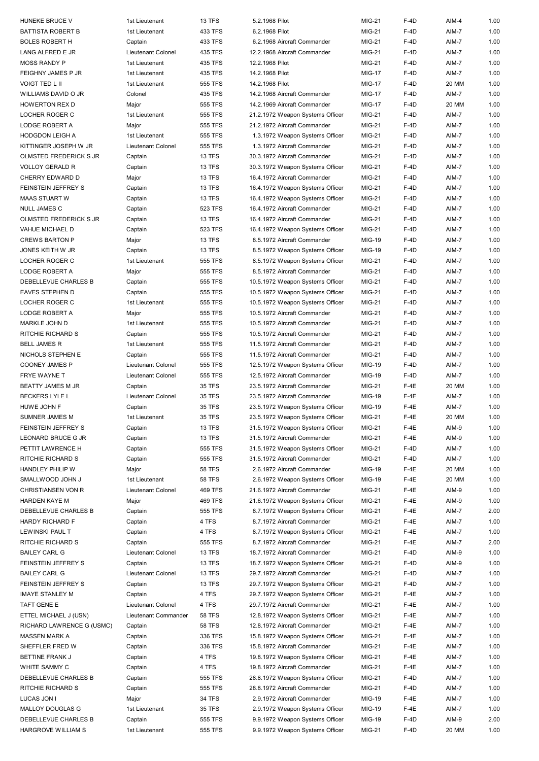| HUNEKE BRUCE V            | 1st Lieutenant       | 13 TFS        | 5.2.1968 Pilot                   | <b>MIG-21</b> | $F-4D$ | AIM-4 | 1.00 |
|---------------------------|----------------------|---------------|----------------------------------|---------------|--------|-------|------|
| BATTISTA ROBERT B         | 1st Lieutenant       | 433 TFS       | 6.2.1968 Pilot                   | <b>MIG-21</b> | $F-4D$ | AIM-7 | 1.00 |
| <b>BOLES ROBERT H</b>     | Captain              | 433 TFS       | 6.2.1968 Aircraft Commander      | <b>MIG-21</b> | $F-4D$ | AIM-7 | 1.00 |
| LANG ALFRED E JR          | Lieutenant Colonel   | 435 TFS       | 12.2.1968 Aircraft Commander     | <b>MIG-21</b> | $F-4D$ | AIM-7 | 1.00 |
| <b>MOSS RANDY P</b>       | 1st Lieutenant       | 435 TFS       | 12.2.1968 Pilot                  | <b>MIG-21</b> | $F-4D$ | AIM-7 | 1.00 |
| FEIGHNY JAMES P JR        | 1st Lieutenant       | 435 TFS       | 14.2.1968 Pilot                  | <b>MIG-17</b> | $F-4D$ | AIM-7 | 1.00 |
|                           |                      |               |                                  |               |        |       |      |
| VOIGT TED L II            | 1st Lieutenant       | 555 TFS       | 14.2.1968 Pilot                  | <b>MIG-17</b> | $F-4D$ | 20 MM | 1.00 |
| WILLIAMS DAVID O JR       | Colonel              | 435 TFS       | 14.2.1968 Aircraft Commander     | <b>MIG-17</b> | F-4D   | AIM-7 | 1.00 |
| HOWERTON REX D            | Major                | 555 TFS       | 14.2.1969 Aircraft Commander     | <b>MIG-17</b> | $F-4D$ | 20 MM | 1.00 |
| LOCHER ROGER C            | 1st Lieutenant       | 555 TFS       | 21.2.1972 Weapon Systems Officer | <b>MIG-21</b> | $F-4D$ | AIM-7 | 1.00 |
| LODGE ROBERT A            | Major                | 555 TFS       | 21.2.1972 Aircraft Commander     | MIG-21        | F-4D   | AIM-7 | 1.00 |
| HODGDON LEIGH A           | 1st Lieutenant       | 555 TFS       | 1.3.1972 Weapon Systems Officer  | MIG-21        | $F-4D$ | AIM-7 | 1.00 |
|                           |                      |               |                                  |               |        |       |      |
| KITTINGER JOSEPH W JR     | Lieutenant Colonel   | 555 TFS       | 1.3.1972 Aircraft Commander      | MIG-21        | F-4D   | AIM-7 | 1.00 |
| OLMSTED FREDERICK S JR    | Captain              | <b>13 TFS</b> | 30.3.1972 Aircraft Commander     | MIG-21        | F-4D   | AIM-7 | 1.00 |
| <b>VOLLOY GERALD R</b>    | Captain              | <b>13 TFS</b> | 30.3.1972 Weapon Systems Officer | <b>MIG-21</b> | F-4D   | AIM-7 | 1.00 |
| CHERRY EDWARD D           | Major                | <b>13 TFS</b> | 16.4.1972 Aircraft Commander     | MIG-21        | F-4D   | AIM-7 | 1.00 |
| FEINSTEIN JEFFREY S       | Captain              | <b>13 TFS</b> | 16.4.1972 Weapon Systems Officer | <b>MIG-21</b> | F-4D   | AIM-7 | 1.00 |
| MAAS STUART W             | Captain              | 13 TFS        | 16.4.1972 Weapon Systems Officer | <b>MIG-21</b> | $F-4D$ | AIM-7 | 1.00 |
| NULL JAMES C              | Captain              | 523 TFS       | 16.4.1972 Aircraft Commander     | <b>MIG-21</b> | $F-4D$ | AIM-7 | 1.00 |
|                           |                      |               |                                  |               |        |       |      |
| OLMSTED FREDERICK S JR    | Captain              | 13 TFS        | 16.4.1972 Aircraft Commander     | <b>MIG-21</b> | F-4D   | AIM-7 | 1.00 |
| VAHUE MICHAEL D           | Captain              | 523 TFS       | 16.4.1972 Weapon Systems Officer | <b>MIG-21</b> | F-4D   | AIM-7 | 1.00 |
| <b>CREWS BARTON P</b>     | Major                | 13 TFS        | 8.5.1972 Aircraft Commander      | <b>MIG-19</b> | F-4D   | AIM-7 | 1.00 |
| JONES KEITH W JR          | Captain              | 13 TFS        | 8.5.1972 Weapon Systems Officer  | <b>MIG-19</b> | F-4D   | AIM-7 | 1.00 |
| LOCHER ROGER C            | 1st Lieutenant       | 555 TFS       | 8.5.1972 Weapon Systems Officer  | <b>MIG-21</b> | $F-4D$ | AIM-7 | 1.00 |
| <b>LODGE ROBERT A</b>     | Major                | 555 TFS       | 8.5.1972 Aircraft Commander      | <b>MIG-21</b> | $F-4D$ | AIM-7 | 1.00 |
| DEBELLEVUE CHARLES B      | Captain              | 555 TFS       | 10.5.1972 Weapon Systems Officer | <b>MIG-21</b> | F-4D   | AIM-7 | 1.00 |
| EAVES STEPHEN D           |                      | 555 TFS       |                                  | MIG-21        | F-4D   | AIM-7 | 1.00 |
|                           | Captain              |               | 10.5.1972 Weapon Systems Officer |               |        |       |      |
| LOCHER ROGER C            | 1st Lieutenant       | 555 TFS       | 10.5.1972 Weapon Systems Officer | MIG-21        | $F-4D$ | AIM-7 | 1.00 |
| LODGE ROBERT A            | Major                | 555 TFS       | 10.5.1972 Aircraft Commander     | <b>MIG-21</b> | $F-4D$ | AIM-7 | 1.00 |
| MARKLE JOHN D             | 1st Lieutenant       | 555 TFS       | 10.5.1972 Aircraft Commander     | MIG-21        | $F-4D$ | AIM-7 | 1.00 |
| RITCHIE RICHARD S         | Captain              | 555 TFS       | 10.5.1972 Aircraft Commander     | <b>MIG-21</b> | $F-4D$ | AIM-7 | 1.00 |
| <b>BELL JAMES R</b>       | 1st Lieutenant       | 555 TFS       | 11.5.1972 Aircraft Commander     | <b>MIG-21</b> | F-4D   | AIM-7 | 1.00 |
| NICHOLS STEPHEN E         | Captain              | 555 TFS       | 11.5.1972 Aircraft Commander     | <b>MIG-21</b> | F-4D   | AIM-7 | 1.00 |
| COONEY JAMES P            | Lieutenant Colonel   | 555 TFS       | 12.5.1972 Weapon Systems Officer | <b>MIG-19</b> | F-4D   | AIM-7 | 1.00 |
| FRYE WAYNE T              | Lieutenant Colonel   | 555 TFS       | 12.5.1972 Aircraft Commander     | MIG-19        | F-4D   | AIM-7 | 1.00 |
| BEATTY JAMES M JR         | Captain              | 35 TFS        | 23.5.1972 Aircraft Commander     | MIG-21        | $F-4E$ | 20 MM | 1.00 |
|                           |                      |               |                                  |               |        |       |      |
| BECKERS LYLE L            | Lieutenant Colonel   | 35 TFS        | 23.5.1972 Aircraft Commander     | <b>MIG-19</b> | $F-4E$ | AIM-7 | 1.00 |
| HUWE JOHN F               | Captain              | 35 TFS        | 23.5.1972 Weapon Systems Officer | <b>MIG-19</b> | $F-4E$ | AIM-7 | 1.00 |
| SUMNER JAMES M            | 1st Lieutenant       | <b>35 TFS</b> | 23.5.1972 Weapon Systems Officer | <b>MIG-21</b> | $F-4E$ | 20 MM | 1.00 |
| FEINSTEIN JEFFREY S       | Captain              | 13 TFS        | 31.5.1972 Weapon Systems Officer | MIG-21        | $F-4E$ | AIM-9 | 1.00 |
| LEONARD BRUCE G JR        | Captain              | 13 TFS        | 31.5.1972 Aircraft Commander     | MIG-21        | $F-4E$ | AIM-9 | 1.00 |
| PETTIT LAWRENCE H         | Captain              | 555 TFS       | 31.5.1972 Weapon Systems Officer | MIG-21        | F-4D   | AIM-7 | 1.00 |
| RITCHIE RICHARD S         | Captain              | 555 TFS       | 31.5.1972 Aircraft Commander     | MIG-21        | $F-4D$ | AIM-7 | 1.00 |
| HANDLEY PHILIP W          | Major                | <b>58 TFS</b> | 2.6.1972 Aircraft Commander      | <b>MIG-19</b> | $F-4E$ | 20 MM | 1.00 |
| SMALLWOOD JOHN J          | 1st Lieutenant       | <b>58 TFS</b> | 2.6.1972 Weapon Systems Officer  | MIG-19        | $F-4E$ | 20 MM | 1.00 |
| CHRISTIANSEN VON R        | Lieutenant Colonel   | 469 TFS       | 21.6.1972 Aircraft Commander     |               |        | AIM-9 | 1.00 |
|                           |                      |               |                                  | MIG-21        | $F-4E$ |       |      |
| HARDEN KAYE M             | Major                | 469 TFS       | 21.6.1972 Weapon Systems Officer | <b>MIG-21</b> | $F-4E$ | AIM-9 | 1.00 |
| DEBELLEVUE CHARLES B      | Captain              | 555 TFS       | 8.7.1972 Weapon Systems Officer  | MIG-21        | $F-4E$ | AIM-7 | 2.00 |
| HARDY RICHARD F           | Captain              | 4 TFS         | 8.7.1972 Aircraft Commander      | MIG-21        | $F-4E$ | AIM-7 | 1.00 |
| LEWINSKI PAUL T           | Captain              | 4 TFS         | 8.7.1972 Weapon Systems Officer  | MIG-21        | $F-4E$ | AIM-7 | 1.00 |
| RITCHIE RICHARD S         | Captain              | 555 TFS       | 8.7.1972 Aircraft Commander      | MIG-21        | $F-4E$ | AIM-7 | 2.00 |
| BAILEY CARL G             | Lieutenant Colonel   | <b>13 TFS</b> | 18.7.1972 Aircraft Commander     | MIG-21        | F-4D   | AIM-9 | 1.00 |
| FEINSTEIN JEFFREY S       | Captain              | <b>13 TFS</b> | 18.7.1972 Weapon Systems Officer | MIG-21        | F-4D   | AIM-9 | 1.00 |
| BAILEY CARL G             | Lieutenant Colonel   | <b>13 TFS</b> | 29.7.1972 Aircraft Commander     | MIG-21        | F-4D   | AIM-7 | 1.00 |
| FEINSTEIN JEFFREY S       |                      |               |                                  |               |        |       |      |
|                           | Captain              | <b>13 TFS</b> | 29.7.1972 Weapon Systems Officer | MIG-21        | F-4D   | AIM-7 | 1.00 |
| IMAYE STANLEY M           | Captain              | 4 TFS         | 29.7.1972 Weapon Systems Officer | MIG-21        | $F-4E$ | AIM-7 | 1.00 |
| TAFT GENE E               | Lieutenant Colonel   | 4 TFS         | 29.7.1972 Aircraft Commander     | MIG-21        | $F-4E$ | AIM-7 | 1.00 |
| ETTEL MICHAEL J (USN)     | Lieutenant Commander | <b>58 TFS</b> | 12.8.1972 Weapon Systems Officer | MIG-21        | $F-4E$ | AIM-7 | 1.00 |
| RICHARD LAWRENCE G (USMC) | Captain              | <b>58 TFS</b> | 12.8.1972 Aircraft Commander     | MIG-21        | $F-4E$ | AIM-7 | 1.00 |
| MASSEN MARK A             | Captain              | 336 TFS       | 15.8.1972 Weapon Systems Officer | <b>MIG-21</b> | $F-4E$ | AIM-7 | 1.00 |
| SHEFFLER FRED W           | Captain              | 336 TFS       | 15.8.1972 Aircraft Commander     | MIG-21        | $F-4E$ | AIM-7 | 1.00 |
| BETTINE FRANK J           | Captain              | 4 TFS         | 19.8.1972 Weapon Systems Officer | MIG-21        | $F-4E$ | AIM-7 | 1.00 |
| WHITE SAMMY C             | Captain              | 4 TFS         | 19.8.1972 Aircraft Commander     | MIG-21        | $F-4E$ | AIM-7 | 1.00 |
|                           |                      |               |                                  |               |        |       |      |
| DEBELLEVUE CHARLES B      | Captain              | 555 TFS       | 28.8.1972 Weapon Systems Officer | MIG-21        | F-4D   | AIM-7 | 1.00 |
| RITCHIE RICHARD S         | Captain              | 555 TFS       | 28.8.1972 Aircraft Commander     | MIG-21        | F-4D   | AIM-7 | 1.00 |
| LUCAS JON I               | Major                | 34 TFS        | 2.9.1972 Aircraft Commander      | <b>MIG-19</b> | $F-4E$ | AIM-7 | 1.00 |
| MALLOY DOUGLAS G          | 1st Lieutenant       | 35 TFS        | 2.9.1972 Weapon Systems Officer  | <b>MIG-19</b> | $F-4E$ | AIM-7 | 1.00 |
| DEBELLEVUE CHARLES B      | Captain              | 555 TFS       | 9.9.1972 Weapon Systems Officer  | MIG-19        | $F-4D$ | AIM-9 | 2.00 |
| HARGROVE WILLIAM S        | 1st Lieutenant       | 555 TFS       | 9.9.1972 Weapon Systems Officer  | MIG-21        | $F-4D$ | 20 MM | 1.00 |
|                           |                      |               |                                  |               |        |       |      |